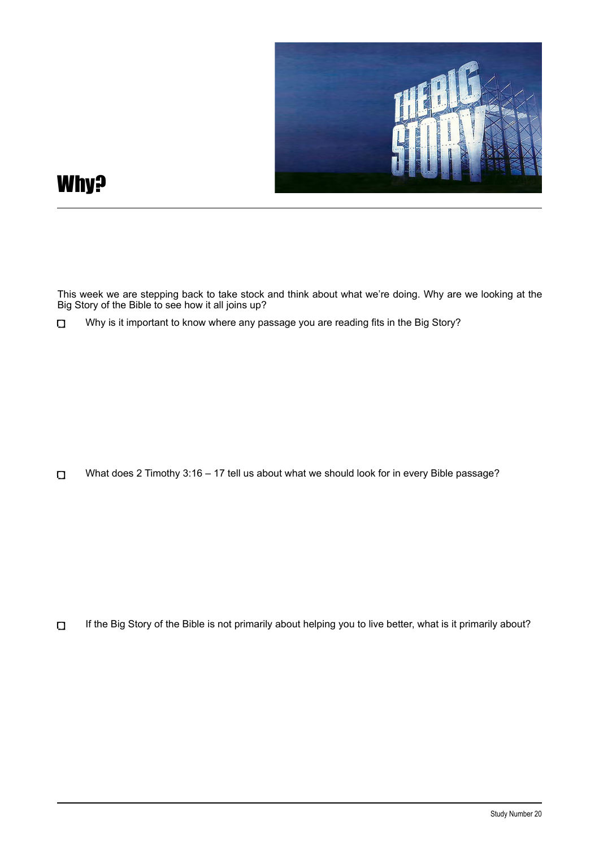

## Why?

This week we are stepping back to take stock and think about what we're doing. Why are we looking at the Big Story of the Bible to see how it all joins up?

Why is it important to know where any passage you are reading fits in the Big Story?  $\Box$ 

What does 2 Timothy 3:16 – 17 tell us about what we should look for in every Bible passage?  $\Box$ 

If the Big Story of the Bible is not primarily about helping you to live better, what is it primarily about?  $\Box$